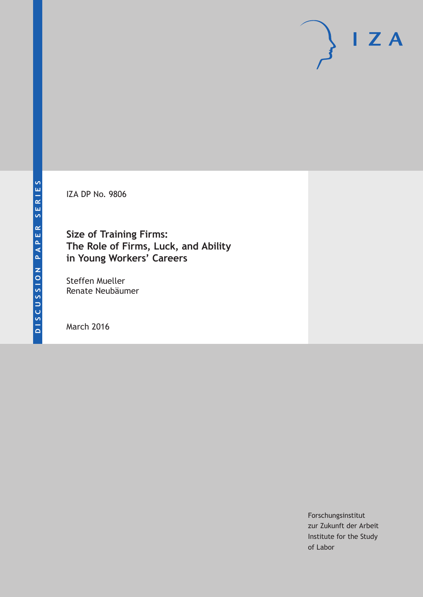IZA DP No. 9806

# **Size of Training Firms: The Role of Firms, Luck, and Ability in Young Workers' Careers**

Steffen Mueller Renate Neubäumer

March 2016

Forschungsinstitut zur Zukunft der Arbeit Institute for the Study of Labor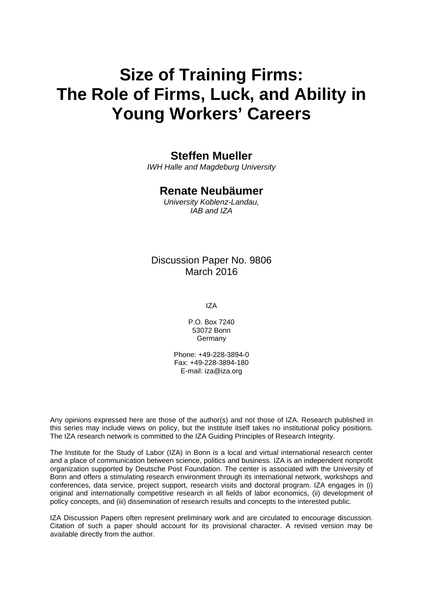# **Size of Training Firms: The Role of Firms, Luck, and Ability in Young Workers' Careers**

# **Steffen Mueller**

*IWH Halle and Magdeburg University* 

# **Renate Neubäumer**

*University Koblenz-Landau, IAB and IZA* 

# Discussion Paper No. 9806 March 2016

IZA

P.O. Box 7240 53072 Bonn **Germany** 

Phone: +49-228-3894-0 Fax: +49-228-3894-180 E-mail: iza@iza.org

Any opinions expressed here are those of the author(s) and not those of IZA. Research published in this series may include views on policy, but the institute itself takes no institutional policy positions. The IZA research network is committed to the IZA Guiding Principles of Research Integrity.

The Institute for the Study of Labor (IZA) in Bonn is a local and virtual international research center and a place of communication between science, politics and business. IZA is an independent nonprofit organization supported by Deutsche Post Foundation. The center is associated with the University of Bonn and offers a stimulating research environment through its international network, workshops and conferences, data service, project support, research visits and doctoral program. IZA engages in (i) original and internationally competitive research in all fields of labor economics, (ii) development of policy concepts, and (iii) dissemination of research results and concepts to the interested public.

IZA Discussion Papers often represent preliminary work and are circulated to encourage discussion. Citation of such a paper should account for its provisional character. A revised version may be available directly from the author.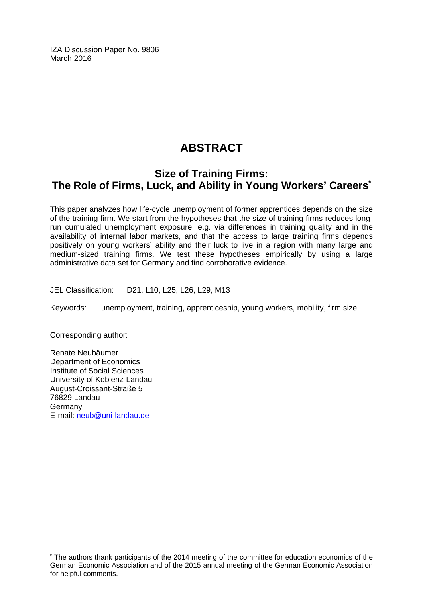IZA Discussion Paper No. 9806 March 2016

# **ABSTRACT**

# **Size of Training Firms: The Role of Firms, Luck, and Ability in Young Workers' Careers\***

This paper analyzes how life-cycle unemployment of former apprentices depends on the size of the training firm. We start from the hypotheses that the size of training firms reduces longrun cumulated unemployment exposure, e.g. via differences in training quality and in the availability of internal labor markets, and that the access to large training firms depends positively on young workers' ability and their luck to live in a region with many large and medium-sized training firms. We test these hypotheses empirically by using a large administrative data set for Germany and find corroborative evidence.

JEL Classification: D21, L10, L25, L26, L29, M13

Keywords: unemployment, training, apprenticeship, young workers, mobility, firm size

Corresponding author:

 $\overline{a}$ 

Renate Neubäumer Department of Economics Institute of Social Sciences University of Koblenz-Landau August-Croissant-Straße 5 76829 Landau Germany E-mail: neub@uni-landau.de

<sup>\*</sup> The authors thank participants of the 2014 meeting of the committee for education economics of the German Economic Association and of the 2015 annual meeting of the German Economic Association for helpful comments.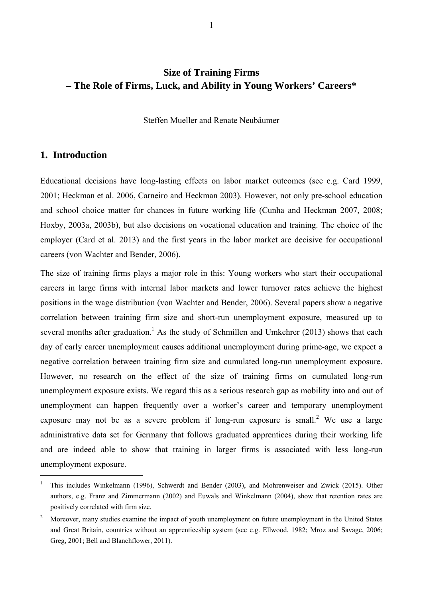# **Size of Training Firms – The Role of Firms, Luck, and Ability in Young Workers' Careers\***

Steffen Mueller and Renate Neubäumer

## **1. Introduction**

 $\overline{a}$ 

Educational decisions have long-lasting effects on labor market outcomes (see e.g. Card 1999, 2001; Heckman et al. 2006, Carneiro and Heckman 2003). However, not only pre-school education and school choice matter for chances in future working life (Cunha and Heckman 2007, 2008; Hoxby, 2003a, 2003b), but also decisions on vocational education and training. The choice of the employer (Card et al. 2013) and the first years in the labor market are decisive for occupational careers (von Wachter and Bender, 2006).

The size of training firms plays a major role in this: Young workers who start their occupational careers in large firms with internal labor markets and lower turnover rates achieve the highest positions in the wage distribution (von Wachter and Bender, 2006). Several papers show a negative correlation between training firm size and short-run unemployment exposure, measured up to several months after graduation.<sup>1</sup> As the study of Schmillen and Umkehrer (2013) shows that each day of early career unemployment causes additional unemployment during prime-age, we expect a negative correlation between training firm size and cumulated long-run unemployment exposure. However, no research on the effect of the size of training firms on cumulated long-run unemployment exposure exists. We regard this as a serious research gap as mobility into and out of unemployment can happen frequently over a worker's career and temporary unemployment exposure may not be as a severe problem if long-run exposure is small.<sup>2</sup> We use a large administrative data set for Germany that follows graduated apprentices during their working life and are indeed able to show that training in larger firms is associated with less long-run unemployment exposure.

<sup>1</sup> This includes Winkelmann (1996), Schwerdt and Bender (2003), and Mohrenweiser and Zwick (2015). Other authors, e.g. Franz and Zimmermann (2002) and Euwals and Winkelmann (2004), show that retention rates are positively correlated with firm size.

<sup>2</sup> Moreover, many studies examine the impact of youth unemployment on future unemployment in the United States and Great Britain, countries without an apprenticeship system (see e.g. Ellwood, 1982; Mroz and Savage, 2006; Greg, 2001; Bell and Blanchflower, 2011).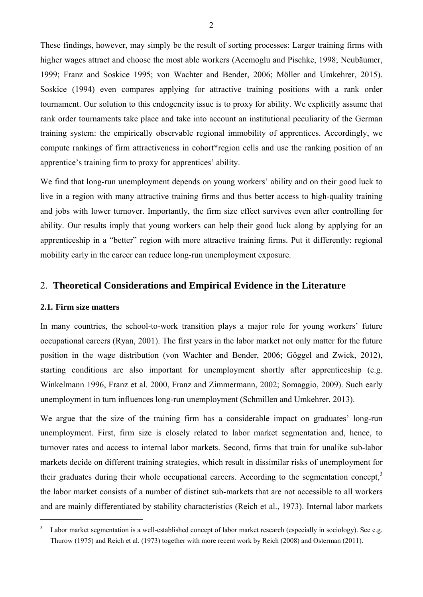These findings, however, may simply be the result of sorting processes: Larger training firms with higher wages attract and choose the most able workers (Acemoglu and Pischke, 1998; Neubäumer, 1999; Franz and Soskice 1995; von Wachter and Bender, 2006; Möller and Umkehrer, 2015). Soskice (1994) even compares applying for attractive training positions with a rank order tournament. Our solution to this endogeneity issue is to proxy for ability. We explicitly assume that rank order tournaments take place and take into account an institutional peculiarity of the German training system: the empirically observable regional immobility of apprentices. Accordingly, we compute rankings of firm attractiveness in cohort\*region cells and use the ranking position of an apprentice's training firm to proxy for apprentices' ability.

We find that long-run unemployment depends on young workers' ability and on their good luck to live in a region with many attractive training firms and thus better access to high-quality training and jobs with lower turnover. Importantly, the firm size effect survives even after controlling for ability. Our results imply that young workers can help their good luck along by applying for an apprenticeship in a "better" region with more attractive training firms. Put it differently: regional mobility early in the career can reduce long-run unemployment exposure.

# 2. **Theoretical Considerations and Empirical Evidence in the Literature**

### **2.1. Firm size matters**

 $\overline{a}$ 

In many countries, the school-to-work transition plays a major role for young workers' future occupational careers (Ryan, 2001). The first years in the labor market not only matter for the future position in the wage distribution (von Wachter and Bender, 2006; Göggel and Zwick, 2012), starting conditions are also important for unemployment shortly after apprenticeship (e.g. Winkelmann 1996, Franz et al. 2000, Franz and Zimmermann, 2002; Somaggio, 2009). Such early unemployment in turn influences long-run unemployment (Schmillen and Umkehrer, 2013).

We argue that the size of the training firm has a considerable impact on graduates' long-run unemployment. First, firm size is closely related to labor market segmentation and, hence, to turnover rates and access to internal labor markets. Second, firms that train for unalike sub-labor markets decide on different training strategies, which result in dissimilar risks of unemployment for their graduates during their whole occupational careers. According to the segmentation concept,<sup>3</sup> the labor market consists of a number of distinct sub-markets that are not accessible to all workers and are mainly differentiated by stability characteristics (Reich et al., 1973). Internal labor markets

<sup>3</sup> Labor market segmentation is a well-established concept of labor market research (especially in sociology). See e.g. Thurow (1975) and Reich et al. (1973) together with more recent work by Reich (2008) and Osterman (2011).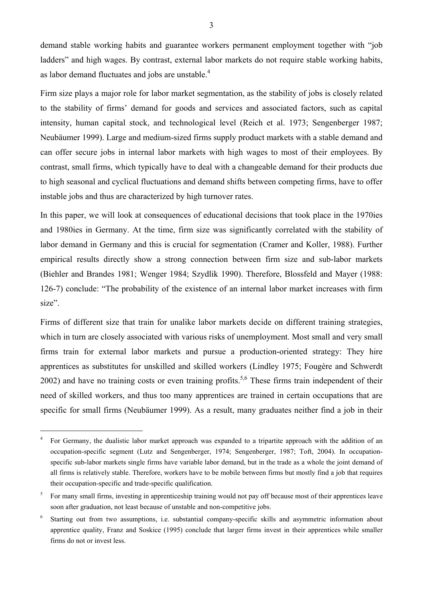demand stable working habits and guarantee workers permanent employment together with "job ladders" and high wages. By contrast, external labor markets do not require stable working habits, as labor demand fluctuates and jobs are unstable. $4$ 

Firm size plays a major role for labor market segmentation, as the stability of jobs is closely related to the stability of firms' demand for goods and services and associated factors, such as capital intensity, human capital stock, and technological level (Reich et al. 1973; Sengenberger 1987; Neubäumer 1999). Large and medium-sized firms supply product markets with a stable demand and can offer secure jobs in internal labor markets with high wages to most of their employees. By contrast, small firms, which typically have to deal with a changeable demand for their products due to high seasonal and cyclical fluctuations and demand shifts between competing firms, have to offer instable jobs and thus are characterized by high turnover rates.

In this paper, we will look at consequences of educational decisions that took place in the 1970ies and 1980ies in Germany. At the time, firm size was significantly correlated with the stability of labor demand in Germany and this is crucial for segmentation (Cramer and Koller, 1988). Further empirical results directly show a strong connection between firm size and sub-labor markets (Biehler and Brandes 1981; Wenger 1984; Szydlik 1990). Therefore, Blossfeld and Mayer (1988: 126-7) conclude: "The probability of the existence of an internal labor market increases with firm size".

Firms of different size that train for unalike labor markets decide on different training strategies, which in turn are closely associated with various risks of unemployment. Most small and very small firms train for external labor markets and pursue a production-oriented strategy: They hire apprentices as substitutes for unskilled and skilled workers (Lindley 1975; Fougère and Schwerdt  $2002$ ) and have no training costs or even training profits.<sup>5,6</sup> These firms train independent of their need of skilled workers, and thus too many apprentices are trained in certain occupations that are specific for small firms (Neubäumer 1999). As a result, many graduates neither find a job in their

<sup>4</sup> For Germany, the dualistic labor market approach was expanded to a tripartite approach with the addition of an occupation-specific segment (Lutz and Sengenberger, 1974; Sengenberger, 1987; Toft, 2004). In occupationspecific sub-labor markets single firms have variable labor demand, but in the trade as a whole the joint demand of all firms is relatively stable. Therefore, workers have to be mobile between firms but mostly find a job that requires their occupation-specific and trade-specific qualification.

<sup>5</sup> For many small firms, investing in apprenticeship training would not pay off because most of their apprentices leave soon after graduation, not least because of unstable and non-competitive jobs.

<sup>6</sup> Starting out from two assumptions, i.e. substantial company-specific skills and asymmetric information about apprentice quality, Franz and Soskice (1995) conclude that larger firms invest in their apprentices while smaller firms do not or invest less.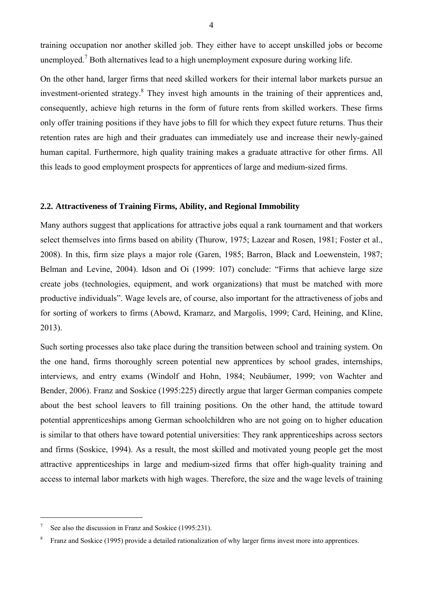training occupation nor another skilled job. They either have to accept unskilled jobs or become unemployed.<sup>7</sup> Both alternatives lead to a high unemployment exposure during working life.

On the other hand, larger firms that need skilled workers for their internal labor markets pursue an investment-oriented strategy.<sup>8</sup> They invest high amounts in the training of their apprentices and, consequently, achieve high returns in the form of future rents from skilled workers. These firms only offer training positions if they have jobs to fill for which they expect future returns. Thus their retention rates are high and their graduates can immediately use and increase their newly-gained human capital. Furthermore, high quality training makes a graduate attractive for other firms. All this leads to good employment prospects for apprentices of large and medium-sized firms.

#### **2.2. Attractiveness of Training Firms, Ability, and Regional Immobility**

Many authors suggest that applications for attractive jobs equal a rank tournament and that workers select themselves into firms based on ability (Thurow, 1975; Lazear and Rosen, 1981; Foster et al., 2008). In this, firm size plays a major role (Garen, 1985; Barron, Black and Loewenstein, 1987; Belman and Levine, 2004). Idson and Oi (1999: 107) conclude: "Firms that achieve large size create jobs (technologies, equipment, and work organizations) that must be matched with more productive individuals". Wage levels are, of course, also important for the attractiveness of jobs and for sorting of workers to firms (Abowd, Kramarz, and Margolis, 1999; Card, Heining, and Kline, 2013).

Such sorting processes also take place during the transition between school and training system. On the one hand, firms thoroughly screen potential new apprentices by school grades, internships, interviews, and entry exams (Windolf and Hohn, 1984; Neubäumer, 1999; von Wachter and Bender, 2006). Franz and Soskice (1995:225) directly argue that larger German companies compete about the best school leavers to fill training positions. On the other hand, the attitude toward potential apprenticeships among German schoolchildren who are not going on to higher education is similar to that others have toward potential universities: They rank apprenticeships across sectors and firms (Soskice, 1994). As a result, the most skilled and motivated young people get the most attractive apprenticeships in large and medium-sized firms that offer high-quality training and access to internal labor markets with high wages. Therefore, the size and the wage levels of training

<sup>7</sup> See also the discussion in Franz and Soskice (1995:231).

<sup>8</sup> Franz and Soskice (1995) provide a detailed rationalization of why larger firms invest more into apprentices.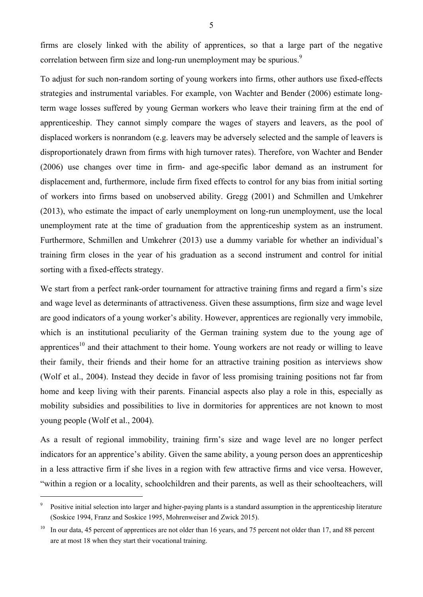firms are closely linked with the ability of apprentices, so that a large part of the negative correlation between firm size and long-run unemployment may be spurious.<sup>9</sup>

To adjust for such non-random sorting of young workers into firms, other authors use fixed-effects strategies and instrumental variables. For example, von Wachter and Bender (2006) estimate longterm wage losses suffered by young German workers who leave their training firm at the end of apprenticeship. They cannot simply compare the wages of stayers and leavers, as the pool of displaced workers is nonrandom (e.g. leavers may be adversely selected and the sample of leavers is disproportionately drawn from firms with high turnover rates). Therefore, von Wachter and Bender (2006) use changes over time in firm- and age-specific labor demand as an instrument for displacement and, furthermore, include firm fixed effects to control for any bias from initial sorting of workers into firms based on unobserved ability. Gregg (2001) and Schmillen and Umkehrer (2013), who estimate the impact of early unemployment on long-run unemployment, use the local unemployment rate at the time of graduation from the apprenticeship system as an instrument. Furthermore, Schmillen and Umkehrer (2013) use a dummy variable for whether an individual's training firm closes in the year of his graduation as a second instrument and control for initial sorting with a fixed-effects strategy.

We start from a perfect rank-order tournament for attractive training firms and regard a firm's size and wage level as determinants of attractiveness. Given these assumptions, firm size and wage level are good indicators of a young worker's ability. However, apprentices are regionally very immobile, which is an institutional peculiarity of the German training system due to the young age of apprentices<sup>10</sup> and their attachment to their home. Young workers are not ready or willing to leave their family, their friends and their home for an attractive training position as interviews show (Wolf et al., 2004). Instead they decide in favor of less promising training positions not far from home and keep living with their parents. Financial aspects also play a role in this, especially as mobility subsidies and possibilities to live in dormitories for apprentices are not known to most young people (Wolf et al., 2004).

As a result of regional immobility, training firm's size and wage level are no longer perfect indicators for an apprentice's ability. Given the same ability, a young person does an apprenticeship in a less attractive firm if she lives in a region with few attractive firms and vice versa. However, "within a region or a locality, schoolchildren and their parents, as well as their schoolteachers, will

<sup>9</sup> Positive initial selection into larger and higher-paying plants is a standard assumption in the apprenticeship literature (Soskice 1994, Franz and Soskice 1995, Mohrenweiser and Zwick 2015).

 $10$  In our data, 45 percent of apprentices are not older than 16 years, and 75 percent not older than 17, and 88 percent are at most 18 when they start their vocational training.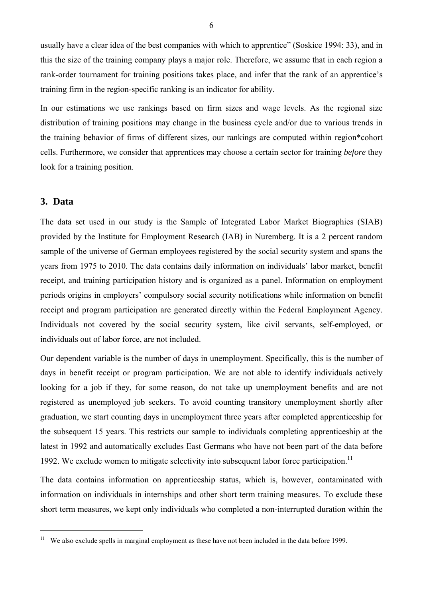usually have a clear idea of the best companies with which to apprentice" (Soskice 1994: 33), and in this the size of the training company plays a major role. Therefore, we assume that in each region a rank-order tournament for training positions takes place, and infer that the rank of an apprentice's training firm in the region-specific ranking is an indicator for ability.

In our estimations we use rankings based on firm sizes and wage levels. As the regional size distribution of training positions may change in the business cycle and/or due to various trends in the training behavior of firms of different sizes, our rankings are computed within region\*cohort cells. Furthermore, we consider that apprentices may choose a certain sector for training *before* they look for a training position.

### **3. Data**

 $\overline{a}$ 

The data set used in our study is the Sample of Integrated Labor Market Biographies (SIAB) provided by the Institute for Employment Research (IAB) in Nuremberg. It is a 2 percent random sample of the universe of German employees registered by the social security system and spans the years from 1975 to 2010. The data contains daily information on individuals' labor market, benefit receipt, and training participation history and is organized as a panel. Information on employment periods origins in employers' compulsory social security notifications while information on benefit receipt and program participation are generated directly within the Federal Employment Agency. Individuals not covered by the social security system, like civil servants, self-employed, or individuals out of labor force, are not included.

Our dependent variable is the number of days in unemployment. Specifically, this is the number of days in benefit receipt or program participation. We are not able to identify individuals actively looking for a job if they, for some reason, do not take up unemployment benefits and are not registered as unemployed job seekers. To avoid counting transitory unemployment shortly after graduation, we start counting days in unemployment three years after completed apprenticeship for the subsequent 15 years. This restricts our sample to individuals completing apprenticeship at the latest in 1992 and automatically excludes East Germans who have not been part of the data before 1992. We exclude women to mitigate selectivity into subsequent labor force participation.<sup>11</sup>

The data contains information on apprenticeship status, which is, however, contaminated with information on individuals in internships and other short term training measures. To exclude these short term measures, we kept only individuals who completed a non-interrupted duration within the

<sup>&</sup>lt;sup>11</sup> We also exclude spells in marginal employment as these have not been included in the data before 1999.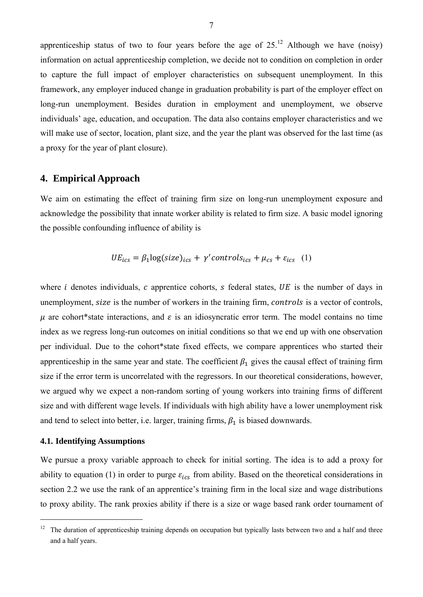apprenticeship status of two to four years before the age of  $25<sup>12</sup>$  Although we have (noisy) information on actual apprenticeship completion, we decide not to condition on completion in order to capture the full impact of employer characteristics on subsequent unemployment. In this framework, any employer induced change in graduation probability is part of the employer effect on long-run unemployment. Besides duration in employment and unemployment, we observe individuals' age, education, and occupation. The data also contains employer characteristics and we will make use of sector, location, plant size, and the year the plant was observed for the last time (as a proxy for the year of plant closure).

# **4. Empirical Approach**

We aim on estimating the effect of training firm size on long-run unemployment exposure and acknowledge the possibility that innate worker ability is related to firm size. A basic model ignoring the possible confounding influence of ability is

$$
UE_{ics} = \beta_1 \log(size)_{ics} + \gamma' controls_{ics} + \mu_{cs} + \varepsilon_{ics} \quad (1)
$$

where  $i$  denotes individuals,  $c$  apprentice cohorts,  $s$  federal states,  $UE$  is the number of days in unemployment, size is the number of workers in the training firm, controls is a vector of controls,  $\mu$  are cohort\*state interactions, and  $\varepsilon$  is an idiosyncratic error term. The model contains no time index as we regress long-run outcomes on initial conditions so that we end up with one observation per individual. Due to the cohort\*state fixed effects, we compare apprentices who started their apprenticeship in the same year and state. The coefficient  $\beta_1$  gives the causal effect of training firm size if the error term is uncorrelated with the regressors. In our theoretical considerations, however, we argued why we expect a non-random sorting of young workers into training firms of different size and with different wage levels. If individuals with high ability have a lower unemployment risk and tend to select into better, i.e. larger, training firms,  $\beta_1$  is biased downwards.

# **4.1. Identifying Assumptions**

 $\overline{a}$ 

We pursue a proxy variable approach to check for initial sorting. The idea is to add a proxy for ability to equation (1) in order to purge  $\varepsilon_{ics}$  from ability. Based on the theoretical considerations in section 2.2 we use the rank of an apprentice's training firm in the local size and wage distributions to proxy ability. The rank proxies ability if there is a size or wage based rank order tournament of

 $12$  The duration of apprenticeship training depends on occupation but typically lasts between two and a half and three and a half years.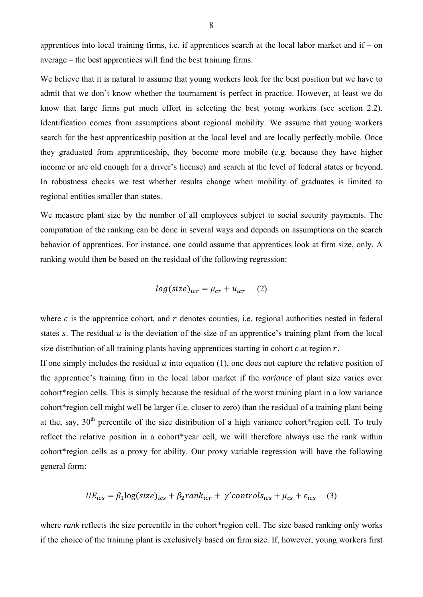apprentices into local training firms, i.e. if apprentices search at the local labor market and if – on average – the best apprentices will find the best training firms.

We believe that it is natural to assume that young workers look for the best position but we have to admit that we don't know whether the tournament is perfect in practice. However, at least we do know that large firms put much effort in selecting the best young workers (see section 2.2). Identification comes from assumptions about regional mobility. We assume that young workers search for the best apprenticeship position at the local level and are locally perfectly mobile. Once they graduated from apprenticeship, they become more mobile (e.g. because they have higher income or are old enough for a driver's license) and search at the level of federal states or beyond. In robustness checks we test whether results change when mobility of graduates is limited to regional entities smaller than states.

We measure plant size by the number of all employees subject to social security payments. The computation of the ranking can be done in several ways and depends on assumptions on the search behavior of apprentices. For instance, one could assume that apprentices look at firm size, only. A ranking would then be based on the residual of the following regression:

$$
log(size)_{icr} = \mu_{cr} + u_{icr} \quad (2)
$$

where  $c$  is the apprentice cohort, and  $r$  denotes counties, i.e. regional authorities nested in federal states s. The residual  $u$  is the deviation of the size of an apprentice's training plant from the local size distribution of all training plants having apprentices starting in cohort  $c$  at region  $r$ .

If one simply includes the residual  $u$  into equation (1), one does not capture the relative position of the apprentice's training firm in the local labor market if the *variance* of plant size varies over cohort\*region cells. This is simply because the residual of the worst training plant in a low variance cohort\*region cell might well be larger (i.e. closer to zero) than the residual of a training plant being at the, say, 30<sup>th</sup> percentile of the size distribution of a high variance cohort\*region cell. To truly reflect the relative position in a cohort\*year cell, we will therefore always use the rank within cohort\*region cells as a proxy for ability. Our proxy variable regression will have the following general form:

$$
UE_{ics} = \beta_1 \log(size)_{ics} + \beta_2 rank_{icr} + \gamma' controls_{ics} + \mu_{cs} + \varepsilon_{ics}
$$
 (3)

where *rank* reflects the size percentile in the cohort\*region cell. The size based ranking only works if the choice of the training plant is exclusively based on firm size. If, however, young workers first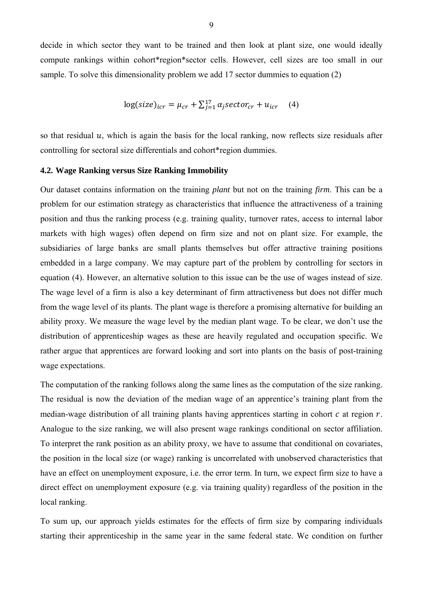decide in which sector they want to be trained and then look at plant size, one would ideally compute rankings within cohort\*region\*sector cells. However, cell sizes are too small in our sample. To solve this dimensionality problem we add 17 sector dummies to equation (2)

$$
\log(size)_{icr} = \mu_{cr} + \sum_{j=1}^{17} \alpha_j sector_{cr} + u_{icr} \quad (4)
$$

so that residual  $u$ , which is again the basis for the local ranking, now reflects size residuals after controlling for sectoral size differentials and cohort\*region dummies.

#### **4.2. Wage Ranking versus Size Ranking Immobility**

Our dataset contains information on the training *plant* but not on the training *firm*. This can be a problem for our estimation strategy as characteristics that influence the attractiveness of a training position and thus the ranking process (e.g. training quality, turnover rates, access to internal labor markets with high wages) often depend on firm size and not on plant size. For example, the subsidiaries of large banks are small plants themselves but offer attractive training positions embedded in a large company. We may capture part of the problem by controlling for sectors in equation (4). However, an alternative solution to this issue can be the use of wages instead of size. The wage level of a firm is also a key determinant of firm attractiveness but does not differ much from the wage level of its plants. The plant wage is therefore a promising alternative for building an ability proxy. We measure the wage level by the median plant wage. To be clear, we don't use the distribution of apprenticeship wages as these are heavily regulated and occupation specific. We rather argue that apprentices are forward looking and sort into plants on the basis of post-training wage expectations.

The computation of the ranking follows along the same lines as the computation of the size ranking. The residual is now the deviation of the median wage of an apprentice's training plant from the median-wage distribution of all training plants having apprentices starting in cohort  $c$  at region  $r$ . Analogue to the size ranking, we will also present wage rankings conditional on sector affiliation. To interpret the rank position as an ability proxy, we have to assume that conditional on covariates, the position in the local size (or wage) ranking is uncorrelated with unobserved characteristics that have an effect on unemployment exposure, i.e. the error term. In turn, we expect firm size to have a direct effect on unemployment exposure (e.g. via training quality) regardless of the position in the local ranking.

To sum up, our approach yields estimates for the effects of firm size by comparing individuals starting their apprenticeship in the same year in the same federal state. We condition on further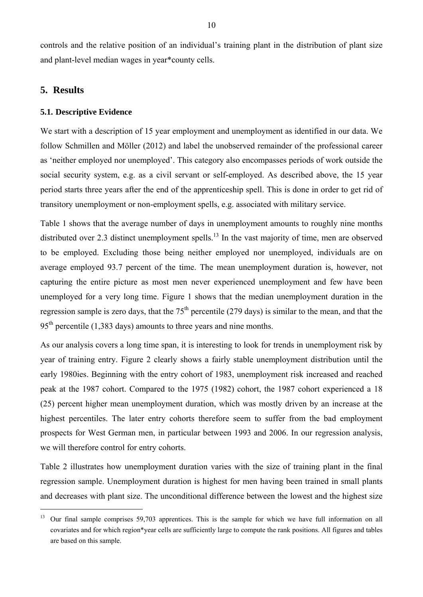controls and the relative position of an individual's training plant in the distribution of plant size and plant-level median wages in year\*county cells.

# **5. Results**

 $\overline{a}$ 

#### **5.1. Descriptive Evidence**

We start with a description of 15 year employment and unemployment as identified in our data. We follow Schmillen and Möller (2012) and label the unobserved remainder of the professional career as 'neither employed nor unemployed'. This category also encompasses periods of work outside the social security system, e.g. as a civil servant or self-employed. As described above, the 15 year period starts three years after the end of the apprenticeship spell. This is done in order to get rid of transitory unemployment or non-employment spells, e.g. associated with military service.

Table 1 shows that the average number of days in unemployment amounts to roughly nine months distributed over 2.3 distinct unemployment spells.<sup>13</sup> In the vast majority of time, men are observed to be employed. Excluding those being neither employed nor unemployed, individuals are on average employed 93.7 percent of the time. The mean unemployment duration is, however, not capturing the entire picture as most men never experienced unemployment and few have been unemployed for a very long time. Figure 1 shows that the median unemployment duration in the regression sample is zero days, that the  $75<sup>th</sup>$  percentile (279 days) is similar to the mean, and that the  $95<sup>th</sup>$  percentile (1,383 days) amounts to three years and nine months.

As our analysis covers a long time span, it is interesting to look for trends in unemployment risk by year of training entry. Figure 2 clearly shows a fairly stable unemployment distribution until the early 1980ies. Beginning with the entry cohort of 1983, unemployment risk increased and reached peak at the 1987 cohort. Compared to the 1975 (1982) cohort, the 1987 cohort experienced a 18 (25) percent higher mean unemployment duration, which was mostly driven by an increase at the highest percentiles. The later entry cohorts therefore seem to suffer from the bad employment prospects for West German men, in particular between 1993 and 2006. In our regression analysis, we will therefore control for entry cohorts.

Table 2 illustrates how unemployment duration varies with the size of training plant in the final regression sample. Unemployment duration is highest for men having been trained in small plants and decreases with plant size. The unconditional difference between the lowest and the highest size

<sup>&</sup>lt;sup>13</sup> Our final sample comprises 59,703 apprentices. This is the sample for which we have full information on all covariates and for which region\*year cells are sufficiently large to compute the rank positions. All figures and tables are based on this sample.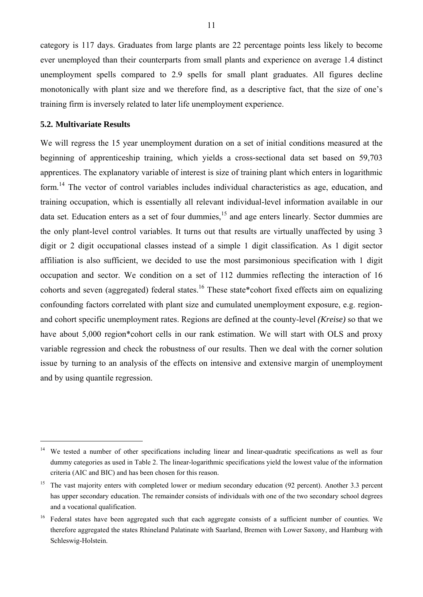category is 117 days. Graduates from large plants are 22 percentage points less likely to become ever unemployed than their counterparts from small plants and experience on average 1.4 distinct unemployment spells compared to 2.9 spells for small plant graduates. All figures decline monotonically with plant size and we therefore find, as a descriptive fact, that the size of one's training firm is inversely related to later life unemployment experience.

#### **5.2. Multivariate Results**

 $\overline{a}$ 

We will regress the 15 year unemployment duration on a set of initial conditions measured at the beginning of apprenticeship training, which yields a cross-sectional data set based on 59,703 apprentices. The explanatory variable of interest is size of training plant which enters in logarithmic form.<sup>14</sup> The vector of control variables includes individual characteristics as age, education, and training occupation, which is essentially all relevant individual-level information available in our data set. Education enters as a set of four dummies,<sup>15</sup> and age enters linearly. Sector dummies are the only plant-level control variables. It turns out that results are virtually unaffected by using 3 digit or 2 digit occupational classes instead of a simple 1 digit classification. As 1 digit sector affiliation is also sufficient, we decided to use the most parsimonious specification with 1 digit occupation and sector. We condition on a set of 112 dummies reflecting the interaction of 16 cohorts and seven (aggregated) federal states.<sup>16</sup> These state\*cohort fixed effects aim on equalizing confounding factors correlated with plant size and cumulated unemployment exposure, e.g. regionand cohort specific unemployment rates. Regions are defined at the county-level *(Kreise)* so that we have about 5,000 region\*cohort cells in our rank estimation. We will start with OLS and proxy variable regression and check the robustness of our results. Then we deal with the corner solution issue by turning to an analysis of the effects on intensive and extensive margin of unemployment and by using quantile regression.

<sup>&</sup>lt;sup>14</sup> We tested a number of other specifications including linear and linear-quadratic specifications as well as four dummy categories as used in Table 2. The linear-logarithmic specifications yield the lowest value of the information criteria (AIC and BIC) and has been chosen for this reason.

<sup>&</sup>lt;sup>15</sup> The vast majority enters with completed lower or medium secondary education (92 percent). Another 3.3 percent has upper secondary education. The remainder consists of individuals with one of the two secondary school degrees and a vocational qualification.

<sup>16</sup> Federal states have been aggregated such that each aggregate consists of a sufficient number of counties. We therefore aggregated the states Rhineland Palatinate with Saarland, Bremen with Lower Saxony, and Hamburg with Schleswig-Holstein.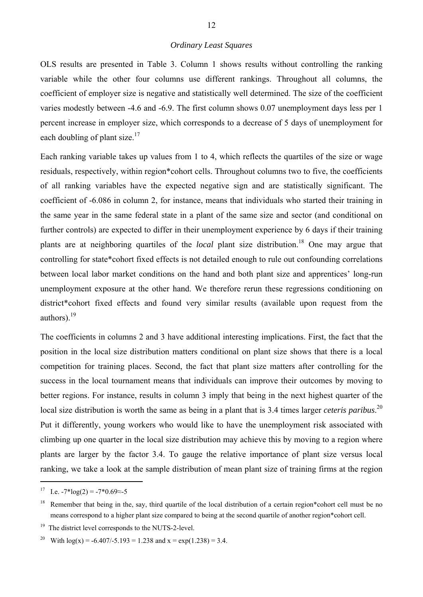## *Ordinary Least Squares*

OLS results are presented in Table 3. Column 1 shows results without controlling the ranking variable while the other four columns use different rankings. Throughout all columns, the coefficient of employer size is negative and statistically well determined. The size of the coefficient varies modestly between -4.6 and -6.9. The first column shows 0.07 unemployment days less per 1 percent increase in employer size, which corresponds to a decrease of 5 days of unemployment for each doubling of plant size. $17$ 

Each ranking variable takes up values from 1 to 4, which reflects the quartiles of the size or wage residuals, respectively, within region\*cohort cells. Throughout columns two to five, the coefficients of all ranking variables have the expected negative sign and are statistically significant. The coefficient of -6.086 in column 2, for instance, means that individuals who started their training in the same year in the same federal state in a plant of the same size and sector (and conditional on further controls) are expected to differ in their unemployment experience by 6 days if their training plants are at neighboring quartiles of the *local* plant size distribution.18 One may argue that controlling for state\*cohort fixed effects is not detailed enough to rule out confounding correlations between local labor market conditions on the hand and both plant size and apprentices' long-run unemployment exposure at the other hand. We therefore rerun these regressions conditioning on district\*cohort fixed effects and found very similar results (available upon request from the authors). $^{19}$ 

The coefficients in columns 2 and 3 have additional interesting implications. First, the fact that the position in the local size distribution matters conditional on plant size shows that there is a local competition for training places. Second, the fact that plant size matters after controlling for the success in the local tournament means that individuals can improve their outcomes by moving to better regions. For instance, results in column 3 imply that being in the next highest quarter of the local size distribution is worth the same as being in a plant that is 3.4 times larger *ceteris paribus*.<sup>20</sup> Put it differently, young workers who would like to have the unemployment risk associated with climbing up one quarter in the local size distribution may achieve this by moving to a region where plants are larger by the factor 3.4. To gauge the relative importance of plant size versus local ranking, we take a look at the sample distribution of mean plant size of training firms at the region

<sup>17</sup> I.e.  $-7*log(2) = -7*0.69 \approx -5$ 

<sup>&</sup>lt;sup>18</sup> Remember that being in the, say, third quartile of the local distribution of a certain region\*cohort cell must be no means correspond to a higher plant size compared to being at the second quartile of another region\*cohort cell.

<sup>&</sup>lt;sup>19</sup> The district level corresponds to the NUTS-2-level.

<sup>&</sup>lt;sup>20</sup> With  $log(x) = -6.407/-5.193 = 1.238$  and  $x = exp(1.238) = 3.4$ .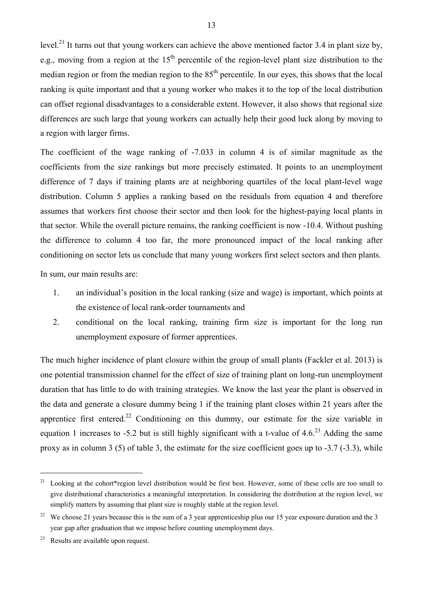level.<sup>21</sup> It turns out that young workers can achieve the above mentioned factor 3.4 in plant size by, e.g., moving from a region at the  $15<sup>th</sup>$  percentile of the region-level plant size distribution to the median region or from the median region to the  $85<sup>th</sup>$  percentile. In our eyes, this shows that the local ranking is quite important and that a young worker who makes it to the top of the local distribution can offset regional disadvantages to a considerable extent. However, it also shows that regional size differences are such large that young workers can actually help their good luck along by moving to a region with larger firms.

The coefficient of the wage ranking of -7.033 in column 4 is of similar magnitude as the coefficients from the size rankings but more precisely estimated. It points to an unemployment difference of 7 days if training plants are at neighboring quartiles of the local plant-level wage distribution. Column 5 applies a ranking based on the residuals from equation 4 and therefore assumes that workers first choose their sector and then look for the highest-paying local plants in that sector. While the overall picture remains, the ranking coefficient is now -10.4. Without pushing the difference to column 4 too far, the more pronounced impact of the local ranking after conditioning on sector lets us conclude that many young workers first select sectors and then plants.

In sum, our main results are:

- 1. an individual's position in the local ranking (size and wage) is important, which points at the existence of local rank-order tournaments and
- 2. conditional on the local ranking, training firm size is important for the long run unemployment exposure of former apprentices.

The much higher incidence of plant closure within the group of small plants (Fackler et al. 2013) is one potential transmission channel for the effect of size of training plant on long-run unemployment duration that has little to do with training strategies. We know the last year the plant is observed in the data and generate a closure dummy being 1 if the training plant closes within 21 years after the apprentice first entered.<sup>22</sup> Conditioning on this dummy, our estimate for the size variable in equation 1 increases to -5.2 but is still highly significant with a t-value of  $4.6<sup>23</sup>$  Adding the same proxy as in column 3 (5) of table 3, the estimate for the size coefficient goes up to -3.7 (-3.3), while

<sup>&</sup>lt;sup>21</sup> Looking at the cohort\*region level distribution would be first best. However, some of these cells are too small to give distributional characteristics a meaningful interpretation. In considering the distribution at the region level, we simplify matters by assuming that plant size is roughly stable at the region level.

<sup>&</sup>lt;sup>22</sup> We choose 21 years because this is the sum of a 3 year apprenticeship plus our 15 year exposure duration and the 3 year gap after graduation that we impose before counting unemployment days.

<sup>23</sup> Results are available upon request.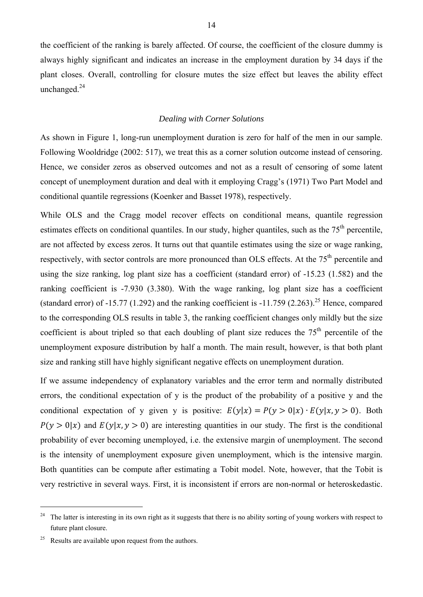the coefficient of the ranking is barely affected. Of course, the coefficient of the closure dummy is always highly significant and indicates an increase in the employment duration by 34 days if the plant closes. Overall, controlling for closure mutes the size effect but leaves the ability effect unchanged.<sup>24</sup>

#### *Dealing with Corner Solutions*

As shown in Figure 1, long-run unemployment duration is zero for half of the men in our sample. Following Wooldridge (2002: 517), we treat this as a corner solution outcome instead of censoring. Hence, we consider zeros as observed outcomes and not as a result of censoring of some latent concept of unemployment duration and deal with it employing Cragg's (1971) Two Part Model and conditional quantile regressions (Koenker and Basset 1978), respectively.

While OLS and the Cragg model recover effects on conditional means, quantile regression estimates effects on conditional quantiles. In our study, higher quantiles, such as the 75<sup>th</sup> percentile, are not affected by excess zeros. It turns out that quantile estimates using the size or wage ranking, respectively, with sector controls are more pronounced than OLS effects. At the 75<sup>th</sup> percentile and using the size ranking, log plant size has a coefficient (standard error) of -15.23 (1.582) and the ranking coefficient is -7.930 (3.380). With the wage ranking, log plant size has a coefficient (standard error) of -15.77 (1.292) and the ranking coefficient is -11.759 (2.263).<sup>25</sup> Hence, compared to the corresponding OLS results in table 3, the ranking coefficient changes only mildly but the size coefficient is about tripled so that each doubling of plant size reduces the  $75<sup>th</sup>$  percentile of the unemployment exposure distribution by half a month. The main result, however, is that both plant size and ranking still have highly significant negative effects on unemployment duration.

If we assume independency of explanatory variables and the error term and normally distributed errors, the conditional expectation of y is the product of the probability of a positive y and the conditional expectation of y given y is positive:  $E(y|x) = P(y > 0|x) \cdot E(y|x, y > 0)$ . Both  $P(y > 0|x)$  and  $E(y|x, y > 0)$  are interesting quantities in our study. The first is the conditional probability of ever becoming unemployed, i.e. the extensive margin of unemployment. The second is the intensity of unemployment exposure given unemployment, which is the intensive margin. Both quantities can be compute after estimating a Tobit model. Note, however, that the Tobit is very restrictive in several ways. First, it is inconsistent if errors are non-normal or heteroskedastic.

<sup>&</sup>lt;sup>24</sup> The latter is interesting in its own right as it suggests that there is no ability sorting of young workers with respect to future plant closure.

<sup>&</sup>lt;sup>25</sup> Results are available upon request from the authors.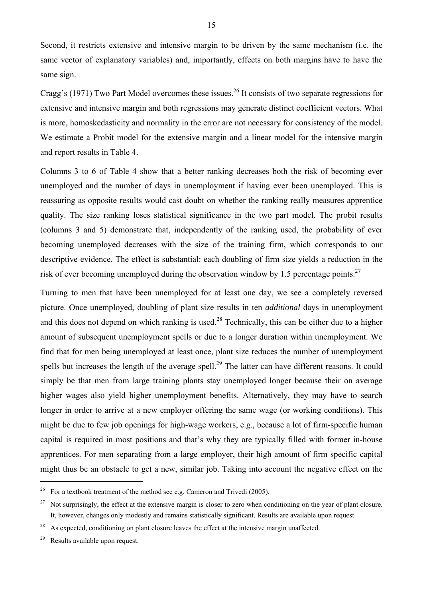Second, it restricts extensive and intensive margin to be driven by the same mechanism (i.e. the same vector of explanatory variables) and, importantly, effects on both margins have to have the same sign.

Cragg's (1971) Two Part Model overcomes these issues.<sup>26</sup> It consists of two separate regressions for extensive and intensive margin and both regressions may generate distinct coefficient vectors. What is more, homoskedasticity and normality in the error are not necessary for consistency of the model. We estimate a Probit model for the extensive margin and a linear model for the intensive margin and report results in Table 4.

Columns 3 to 6 of Table 4 show that a better ranking decreases both the risk of becoming ever unemployed and the number of days in unemployment if having ever been unemployed. This is reassuring as opposite results would cast doubt on whether the ranking really measures apprentice quality. The size ranking loses statistical significance in the two part model. The probit results (columns 3 and 5) demonstrate that, independently of the ranking used, the probability of ever becoming unemployed decreases with the size of the training firm, which corresponds to our descriptive evidence. The effect is substantial: each doubling of firm size yields a reduction in the risk of ever becoming unemployed during the observation window by 1.5 percentage points.<sup>27</sup>

Turning to men that have been unemployed for at least one day, we see a completely reversed picture. Once unemployed, doubling of plant size results in ten *additional* days in unemployment and this does not depend on which ranking is used.<sup>28</sup> Technically, this can be either due to a higher amount of subsequent unemployment spells or due to a longer duration within unemployment. We find that for men being unemployed at least once, plant size reduces the number of unemployment spells but increases the length of the average spell.<sup>29</sup> The latter can have different reasons. It could simply be that men from large training plants stay unemployed longer because their on average higher wages also yield higher unemployment benefits. Alternatively, they may have to search longer in order to arrive at a new employer offering the same wage (or working conditions). This might be due to few job openings for high-wage workers, e.g., because a lot of firm-specific human capital is required in most positions and that's why they are typically filled with former in-house apprentices. For men separating from a large employer, their high amount of firm specific capital might thus be an obstacle to get a new, similar job. Taking into account the negative effect on the

<sup>&</sup>lt;sup>26</sup> For a textbook treatment of the method see e.g. Cameron and Trivedi (2005).

<sup>&</sup>lt;sup>27</sup> Not surprisingly, the effect at the extensive margin is closer to zero when conditioning on the year of plant closure. It, however, changes only modestly and remains statistically significant. Results are available upon request.

<sup>&</sup>lt;sup>28</sup> As expected, conditioning on plant closure leaves the effect at the intensive margin unaffected.

<sup>&</sup>lt;sup>29</sup> Results available upon request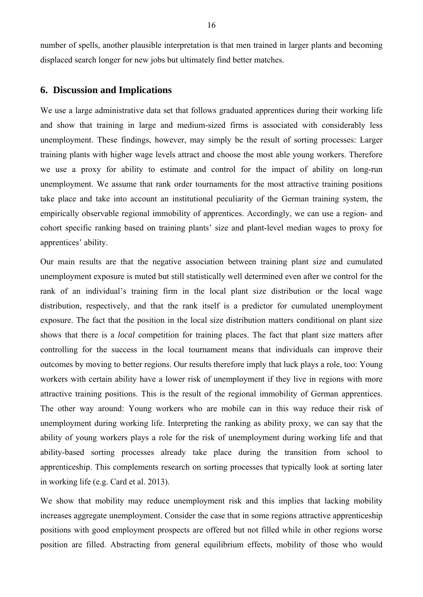number of spells, another plausible interpretation is that men trained in larger plants and becoming displaced search longer for new jobs but ultimately find better matches.

# **6. Discussion and Implications**

We use a large administrative data set that follows graduated apprentices during their working life and show that training in large and medium-sized firms is associated with considerably less unemployment. These findings, however, may simply be the result of sorting processes: Larger training plants with higher wage levels attract and choose the most able young workers. Therefore we use a proxy for ability to estimate and control for the impact of ability on long-run unemployment. We assume that rank order tournaments for the most attractive training positions take place and take into account an institutional peculiarity of the German training system, the empirically observable regional immobility of apprentices. Accordingly, we can use a region- and cohort specific ranking based on training plants' size and plant-level median wages to proxy for apprentices' ability.

Our main results are that the negative association between training plant size and cumulated unemployment exposure is muted but still statistically well determined even after we control for the rank of an individual's training firm in the local plant size distribution or the local wage distribution, respectively, and that the rank itself is a predictor for cumulated unemployment exposure. The fact that the position in the local size distribution matters conditional on plant size shows that there is a *local* competition for training places. The fact that plant size matters after controlling for the success in the local tournament means that individuals can improve their outcomes by moving to better regions. Our results therefore imply that luck plays a role, too: Young workers with certain ability have a lower risk of unemployment if they live in regions with more attractive training positions. This is the result of the regional immobility of German apprentices. The other way around: Young workers who are mobile can in this way reduce their risk of unemployment during working life. Interpreting the ranking as ability proxy, we can say that the ability of young workers plays a role for the risk of unemployment during working life and that ability-based sorting processes already take place during the transition from school to apprenticeship. This complements research on sorting processes that typically look at sorting later in working life (e.g. Card et al. 2013).

We show that mobility may reduce unemployment risk and this implies that lacking mobility increases aggregate unemployment. Consider the case that in some regions attractive apprenticeship positions with good employment prospects are offered but not filled while in other regions worse position are filled. Abstracting from general equilibrium effects, mobility of those who would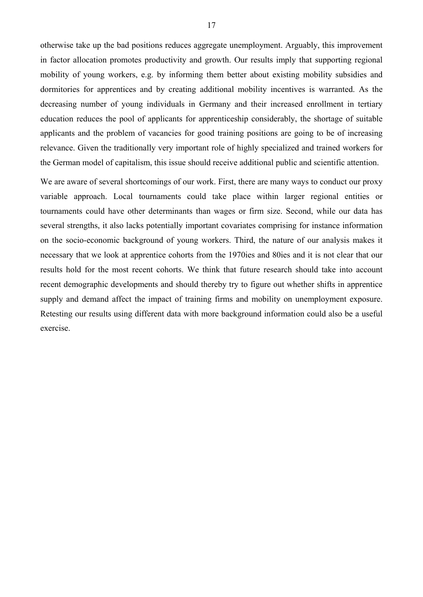otherwise take up the bad positions reduces aggregate unemployment. Arguably, this improvement in factor allocation promotes productivity and growth. Our results imply that supporting regional mobility of young workers, e.g. by informing them better about existing mobility subsidies and dormitories for apprentices and by creating additional mobility incentives is warranted. As the decreasing number of young individuals in Germany and their increased enrollment in tertiary education reduces the pool of applicants for apprenticeship considerably, the shortage of suitable applicants and the problem of vacancies for good training positions are going to be of increasing relevance. Given the traditionally very important role of highly specialized and trained workers for the German model of capitalism, this issue should receive additional public and scientific attention.

We are aware of several shortcomings of our work. First, there are many ways to conduct our proxy variable approach. Local tournaments could take place within larger regional entities or tournaments could have other determinants than wages or firm size. Second, while our data has several strengths, it also lacks potentially important covariates comprising for instance information on the socio-economic background of young workers. Third, the nature of our analysis makes it necessary that we look at apprentice cohorts from the 1970ies and 80ies and it is not clear that our results hold for the most recent cohorts. We think that future research should take into account recent demographic developments and should thereby try to figure out whether shifts in apprentice supply and demand affect the impact of training firms and mobility on unemployment exposure. Retesting our results using different data with more background information could also be a useful exercise.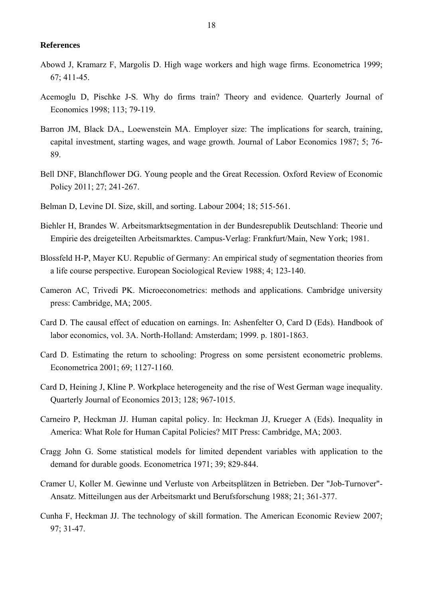#### **References**

- Abowd J, Kramarz F, Margolis D. High wage workers and high wage firms. Econometrica 1999; 67; 411-45.
- Acemoglu D, Pischke J-S. Why do firms train? Theory and evidence. Quarterly Journal of Economics 1998; 113; 79-119.
- Barron JM, Black DA., Loewenstein MA. Employer size: The implications for search, training, capital investment, starting wages, and wage growth. Journal of Labor Economics 1987; 5; 76- 89.
- Bell DNF, Blanchflower DG. Young people and the Great Recession. Oxford Review of Economic Policy 2011; 27; 241-267.
- Belman D, Levine DI. Size, skill, and sorting. Labour 2004; 18; 515-561.
- Biehler H, Brandes W. Arbeitsmarktsegmentation in der Bundesrepublik Deutschland: Theorie und Empirie des dreigeteilten Arbeitsmarktes. Campus-Verlag: Frankfurt/Main, New York; 1981.
- Blossfeld H-P, Mayer KU. Republic of Germany: An empirical study of segmentation theories from a life course perspective. European Sociological Review 1988; 4; 123-140.
- Cameron AC, Trivedi PK. Microeconometrics: methods and applications. Cambridge university press: Cambridge, MA; 2005.
- Card D. The causal effect of education on earnings. In: Ashenfelter O, Card D (Eds). Handbook of labor economics, vol. 3A. North-Holland: Amsterdam; 1999. p. 1801-1863.
- Card D. Estimating the return to schooling: Progress on some persistent econometric problems. Econometrica 2001; 69; 1127-1160.
- Card D, Heining J, Kline P. Workplace heterogeneity and the rise of West German wage inequality. Quarterly Journal of Economics 2013; 128; 967-1015.
- Carneiro P, Heckman JJ. Human capital policy. In: Heckman JJ, Krueger A (Eds). Inequality in America: What Role for Human Capital Policies? MIT Press: Cambridge, MA; 2003.
- Cragg John G. Some statistical models for limited dependent variables with application to the demand for durable goods. Econometrica 1971; 39; 829-844.
- Cramer U, Koller M. Gewinne und Verluste von Arbeitsplätzen in Betrieben. Der "Job-Turnover"- Ansatz. Mitteilungen aus der Arbeitsmarkt und Berufsforschung 1988; 21; 361-377.
- Cunha F, Heckman JJ. The technology of skill formation. The American Economic Review 2007; 97; 31-47.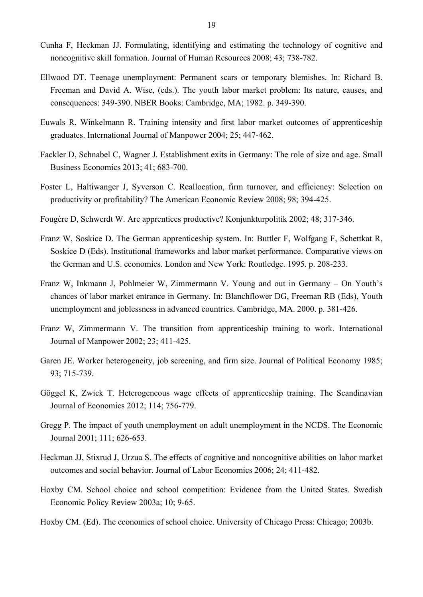- Cunha F, Heckman JJ. Formulating, identifying and estimating the technology of cognitive and noncognitive skill formation. Journal of Human Resources 2008; 43; 738-782.
- Ellwood DT. Teenage unemployment: Permanent scars or temporary blemishes. In: Richard B. Freeman and David A. Wise, (eds.). The youth labor market problem: Its nature, causes, and consequences: 349-390. NBER Books: Cambridge, MA; 1982. p. 349-390.
- Euwals R, Winkelmann R. Training intensity and first labor market outcomes of apprenticeship graduates. International Journal of Manpower 2004; 25; 447-462.
- Fackler D, Schnabel C, Wagner J. Establishment exits in Germany: The role of size and age. Small Business Economics 2013; 41; 683-700.
- Foster L, Haltiwanger J, Syverson C. Reallocation, firm turnover, and efficiency: Selection on productivity or profitability? The American Economic Review 2008; 98; 394-425.
- Fougère D, Schwerdt W. Are apprentices productive? Konjunkturpolitik 2002; 48; 317-346.
- Franz W, Soskice D. The German apprenticeship system. In: Buttler F, Wolfgang F, Schettkat R, Soskice D (Eds). Institutional frameworks and labor market performance. Comparative views on the German and U.S. economies. London and New York: Routledge. 1995. p. 208-233.
- Franz W, Inkmann J, Pohlmeier W, Zimmermann V. Young and out in Germany On Youth's chances of labor market entrance in Germany. In: Blanchflower DG, Freeman RB (Eds), Youth unemployment and joblessness in advanced countries. Cambridge, MA. 2000. p. 381-426.
- Franz W, Zimmermann V. The transition from apprenticeship training to work. International Journal of Manpower 2002; 23; 411-425.
- Garen JE. Worker heterogeneity, job screening, and firm size. Journal of Political Economy 1985; 93; 715-739.
- Göggel K, Zwick T. Heterogeneous wage effects of apprenticeship training. The Scandinavian Journal of Economics 2012; 114; 756-779.
- Gregg P. The impact of youth unemployment on adult unemployment in the NCDS. The Economic Journal 2001; 111; 626-653.
- Heckman JJ, Stixrud J, Urzua S. The effects of cognitive and noncognitive abilities on labor market outcomes and social behavior. Journal of Labor Economics 2006; 24; 411-482.
- Hoxby CM. School choice and school competition: Evidence from the United States. Swedish Economic Policy Review 2003a; 10; 9-65.
- Hoxby CM. (Ed). The economics of school choice. University of Chicago Press: Chicago; 2003b.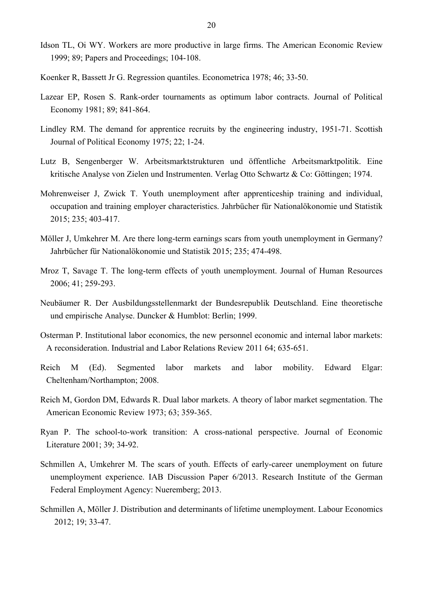- Idson TL, Oi WY. Workers are more productive in large firms. The American Economic Review 1999; 89; Papers and Proceedings; 104-108.
- Koenker R, Bassett Jr G. Regression quantiles. Econometrica 1978; 46; 33-50.
- Lazear EP, Rosen S. Rank-order tournaments as optimum labor contracts. Journal of Political Economy 1981; 89; 841-864.
- Lindley RM. The demand for apprentice recruits by the engineering industry, 1951-71. Scottish Journal of Political Economy 1975; 22; 1-24.
- Lutz B, Sengenberger W. Arbeitsmarktstrukturen und öffentliche Arbeitsmarktpolitik. Eine kritische Analyse von Zielen und Instrumenten. Verlag Otto Schwartz & Co: Göttingen; 1974.
- Mohrenweiser J, Zwick T. Youth unemployment after apprenticeship training and individual, occupation and training employer characteristics. Jahrbücher für Nationalökonomie und Statistik 2015; 235; 403-417.
- Möller J, Umkehrer M. Are there long-term earnings scars from youth unemployment in Germany? Jahrbücher für Nationalökonomie und Statistik 2015; 235; 474-498.
- Mroz T, Savage T. The long-term effects of youth unemployment. Journal of Human Resources 2006; 41; 259-293.
- Neubäumer R. Der Ausbildungsstellenmarkt der Bundesrepublik Deutschland. Eine theoretische und empirische Analyse. Duncker & Humblot: Berlin; 1999.
- Osterman P. Institutional labor economics, the new personnel economic and internal labor markets: A reconsideration. Industrial and Labor Relations Review 2011 64; 635-651.
- Reich M (Ed). Segmented labor markets and labor mobility. Edward Elgar: Cheltenham/Northampton; 2008.
- Reich M, Gordon DM, Edwards R. Dual labor markets. A theory of labor market segmentation. The American Economic Review 1973; 63; 359-365.
- Ryan P. The school-to-work transition: A cross-national perspective. Journal of Economic Literature 2001; 39; 34-92.
- Schmillen A, Umkehrer M. The scars of youth. Effects of early-career unemployment on future unemployment experience. IAB Discussion Paper 6/2013. Research Institute of the German Federal Employment Agency: Nueremberg; 2013.
- Schmillen A, Möller J. Distribution and determinants of lifetime unemployment. Labour Economics 2012; 19; 33-47.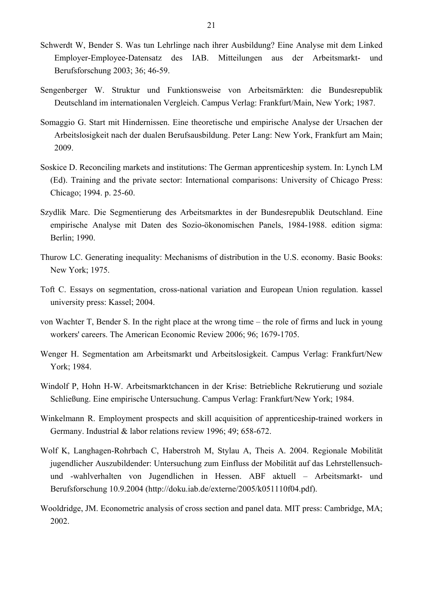- Schwerdt W, Bender S. Was tun Lehrlinge nach ihrer Ausbildung? Eine Analyse mit dem Linked Employer-Employee-Datensatz des IAB. Mitteilungen aus der Arbeitsmarkt- und Berufsforschung 2003; 36; 46-59.
- Sengenberger W. Struktur und Funktionsweise von Arbeitsmärkten: die Bundesrepublik Deutschland im internationalen Vergleich. Campus Verlag: Frankfurt/Main, New York; 1987.
- Somaggio G. Start mit Hindernissen. Eine theoretische und empirische Analyse der Ursachen der Arbeitslosigkeit nach der dualen Berufsausbildung. Peter Lang: New York, Frankfurt am Main; 2009.
- Soskice D. Reconciling markets and institutions: The German apprenticeship system. In: Lynch LM (Ed). Training and the private sector: International comparisons: University of Chicago Press: Chicago; 1994. p. 25-60.
- Szydlik Marc. Die Segmentierung des Arbeitsmarktes in der Bundesrepublik Deutschland. Eine empirische Analyse mit Daten des Sozio-ökonomischen Panels, 1984-1988. edition sigma: Berlin; 1990.
- Thurow LC. Generating inequality: Mechanisms of distribution in the U.S. economy. Basic Books: New York; 1975.
- Toft C. Essays on segmentation, cross-national variation and European Union regulation. kassel university press: Kassel; 2004.
- von Wachter T, Bender S. In the right place at the wrong time the role of firms and luck in young workers' careers. The American Economic Review 2006; 96; 1679-1705.
- Wenger H. Segmentation am Arbeitsmarkt und Arbeitslosigkeit. Campus Verlag: Frankfurt/New York; 1984.
- Windolf P, Hohn H-W. Arbeitsmarktchancen in der Krise: Betriebliche Rekrutierung und soziale Schließung. Eine empirische Untersuchung. Campus Verlag: Frankfurt/New York; 1984.
- Winkelmann R. Employment prospects and skill acquisition of apprenticeship-trained workers in Germany. Industrial & labor relations review 1996; 49; 658-672.
- Wolf K, Langhagen-Rohrbach C, Haberstroh M, Stylau A, Theis A. 2004. Regionale Mobilität jugendlicher Auszubildender: Untersuchung zum Einfluss der Mobilität auf das Lehrstellensuchund -wahlverhalten von Jugendlichen in Hessen. ABF aktuell – Arbeitsmarkt- und Berufsforschung 10.9.2004 (http://doku.iab.de/externe/2005/k051110f04.pdf).
- Wooldridge, JM. Econometric analysis of cross section and panel data. MIT press: Cambridge, MA; 2002.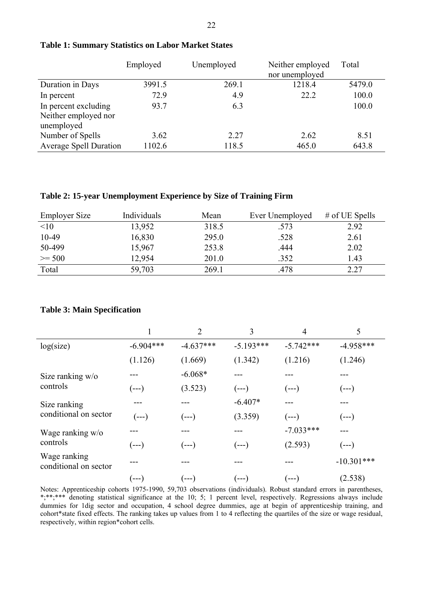|                               | Employed | Unemployed<br>Neither employed |                | Total  |
|-------------------------------|----------|--------------------------------|----------------|--------|
|                               |          |                                | nor unemployed |        |
| Duration in Days              | 3991.5   | 269.1                          | 1218.4         | 5479.0 |
| In percent                    | 72.9     | 4.9                            | 22.2           | 100.0  |
| In percent excluding          | 93.7     | 6.3                            |                | 100.0  |
| Neither employed nor          |          |                                |                |        |
| unemployed                    |          |                                |                |        |
| Number of Spells              | 3.62     | 2.27                           | 2.62           | 8.51   |
| <b>Average Spell Duration</b> | 1102.6   | 118.5                          | 465.0          | 643.8  |

#### **Table 1: Summary Statistics on Labor Market States**

#### **Table 2: 15-year Unemployment Experience by Size of Training Firm**

| <b>Employer Size</b> | Individuals | Mean  | Ever Unemployed | # of UE Spells |
|----------------------|-------------|-------|-----------------|----------------|
| <10                  | 13,952      | 318.5 | .573            | 2.92           |
| 10-49                | 16,830      | 295.0 | .528            | 2.61           |
| 50-499               | 15,967      | 253.8 | .444            | 2.02           |
| $>= 500$             | 12,954      | 201.0 | .352            | 1.43           |
| Total                | 59,703      | 269.1 | .478            | 2.27           |

#### **Table 3: Main Specification**

|                                       |             | $\overline{2}$ | 3           | 4           | 5            |
|---------------------------------------|-------------|----------------|-------------|-------------|--------------|
| log(size)                             | $-6.904***$ | $-4.637***$    | $-5.193***$ | $-5.742***$ | $-4.958***$  |
|                                       | (1.126)     | (1.669)        | (1.342)     | (1.216)     | (1.246)      |
| Size ranking $w/o$<br>controls        |             | $-6.068*$      |             |             |              |
|                                       | (---)       | (3.523)        | (---)       | $(--)$      | $(--)$       |
| Size ranking<br>conditional on sector |             |                | $-6.407*$   | ---         | ---          |
|                                       | $(--)$      | $(--)$         | (3.359)     | $(--)$      | $(--)$       |
| Wage ranking w/o<br>controls          |             |                |             | $-7.033***$ |              |
|                                       | ( --- )     | (---)          | (--- )      | (2.593)     | $(--)$       |
| Wage ranking<br>conditional on sector |             |                |             |             | $-10.301***$ |
|                                       | (---)       | (--- )         | (---        | [---]       | (2.538)      |

Notes: Apprenticeship cohorts 1975-1990, 59,703 observations (individuals). Robust standard errors in parentheses, \*;\*\*;\*\*\* denoting statistical significance at the 10; 5; 1 percent level, respectively. Regressions always include dummies for 1dig sector and occupation, 4 school degree dummies, age at begin of apprenticeship training, and cohort\*state fixed effects. The ranking takes up values from 1 to 4 reflecting the quartiles of the size or wage residual, respectively, within region\*cohort cells.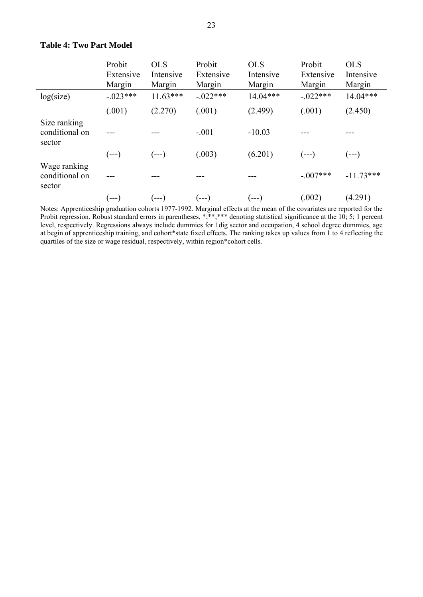|                                          | Probit<br>Extensive<br>Margin | <b>OLS</b><br>Intensive<br>Margin | Probit<br>Extensive<br>Margin | <b>OLS</b><br>Intensive<br>Margin | Probit<br>Extensive<br>Margin | <b>OLS</b><br>Intensive<br>Margin |
|------------------------------------------|-------------------------------|-----------------------------------|-------------------------------|-----------------------------------|-------------------------------|-----------------------------------|
| log(size)                                | $-023***$                     | $11.63***$                        | $-0.022***$                   | $14.04***$                        | $-.022***$                    | $14.04***$                        |
|                                          | (.001)                        | (2.270)                           | (.001)                        | (2.499)                           | (.001)                        | (2.450)                           |
| Size ranking<br>conditional on<br>sector |                               |                                   | $-.001$                       | $-10.03$                          |                               |                                   |
|                                          | $(--)$                        | $(--)$                            | (.003)                        | (6.201)                           | $(--)$                        | $(--)$                            |
| Wage ranking<br>conditional on<br>sector |                               |                                   |                               |                                   | $-.007***$                    | $-11.73***$                       |
|                                          | (---)                         | (---)                             | (---)                         | $(--)$                            | (.002)                        | (4.291)                           |

## **Table 4: Two Part Model**

Notes: Apprenticeship graduation cohorts 1977-1992. Marginal effects at the mean of the covariates are reported for the Probit regression. Robust standard errors in parentheses, \*;\*\*;\*\*\* denoting statistical significance at the 10; 5; 1 percent level, respectively. Regressions always include dummies for 1dig sector and occupation, 4 school degree dummies, age at begin of apprenticeship training, and cohort\*state fixed effects. The ranking takes up values from 1 to 4 reflecting the quartiles of the size or wage residual, respectively, within region\*cohort cells.